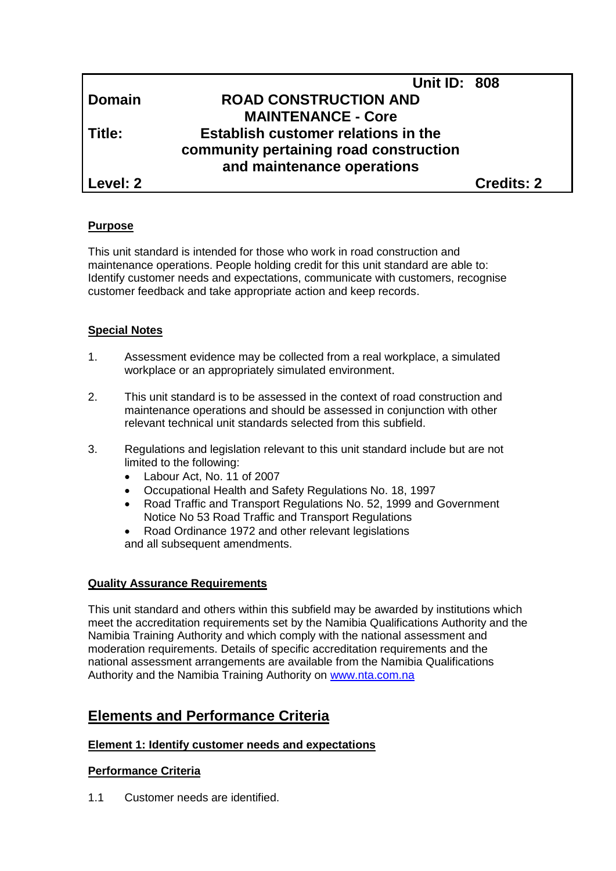|               | <b>Unit ID: 808</b>                        |                   |
|---------------|--------------------------------------------|-------------------|
| <b>Domain</b> | <b>ROAD CONSTRUCTION AND</b>               |                   |
|               | <b>MAINTENANCE - Core</b>                  |                   |
| Title:        | <b>Establish customer relations in the</b> |                   |
|               | community pertaining road construction     |                   |
|               | and maintenance operations                 |                   |
| Level: 2      |                                            | <b>Credits: 2</b> |

## **Purpose**

This unit standard is intended for those who work in road construction and maintenance operations. People holding credit for this unit standard are able to: Identify customer needs and expectations, communicate with customers, recognise customer feedback and take appropriate action and keep records.

## **Special Notes**

- 1. Assessment evidence may be collected from a real workplace, a simulated workplace or an appropriately simulated environment.
- 2. This unit standard is to be assessed in the context of road construction and maintenance operations and should be assessed in conjunction with other relevant technical unit standards selected from this subfield.
- 3. Regulations and legislation relevant to this unit standard include but are not limited to the following:
	- Labour Act, No. 11 of 2007
	- Occupational Health and Safety Regulations No. 18, 1997
	- Road Traffic and Transport Regulations No. 52, 1999 and Government Notice No 53 Road Traffic and Transport Regulations
	- Road Ordinance 1972 and other relevant legislations and all subsequent amendments.

## **Quality Assurance Requirements**

This unit standard and others within this subfield may be awarded by institutions which meet the accreditation requirements set by the Namibia Qualifications Authority and the Namibia Training Authority and which comply with the national assessment and moderation requirements. Details of specific accreditation requirements and the national assessment arrangements are available from the Namibia Qualifications Authority and the Namibia Training Authority on [www.nta.com.na](http://www.nta.com.na/)

# **Elements and Performance Criteria**

## **Element 1: Identify customer needs and expectations**

## **Performance Criteria**

1.1 Customer needs are identified.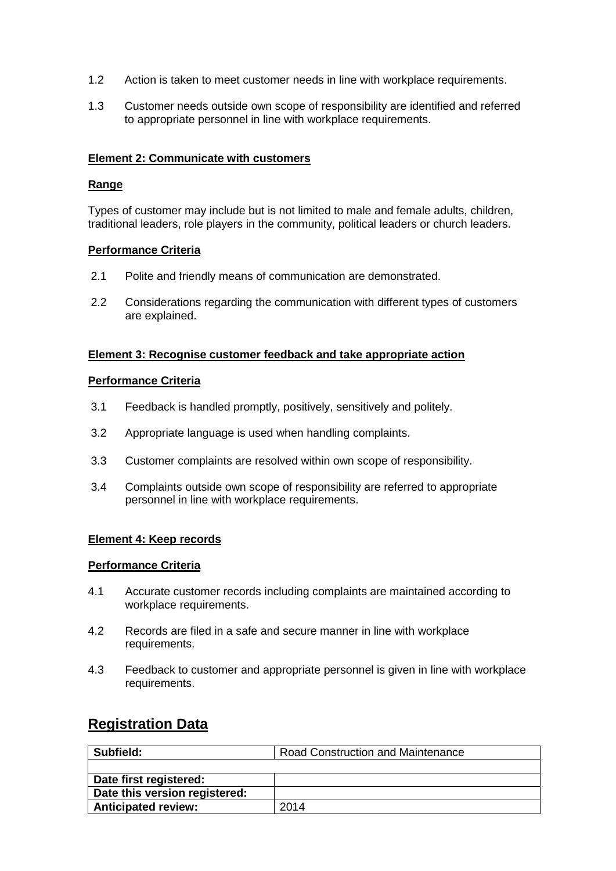- 1.2 Action is taken to meet customer needs in line with workplace requirements.
- 1.3 Customer needs outside own scope of responsibility are identified and referred to appropriate personnel in line with workplace requirements.

#### **Element 2: Communicate with customers**

#### **Range**

Types of customer may include but is not limited to male and female adults, children, traditional leaders, role players in the community, political leaders or church leaders.

#### **Performance Criteria**

- 2.1 Polite and friendly means of communication are demonstrated.
- 2.2 Considerations regarding the communication with different types of customers are explained.

#### **Element 3: Recognise customer feedback and take appropriate action**

#### **Performance Criteria**

- 3.1 Feedback is handled promptly, positively, sensitively and politely.
- 3.2 Appropriate language is used when handling complaints.
- 3.3 Customer complaints are resolved within own scope of responsibility.
- 3.4 Complaints outside own scope of responsibility are referred to appropriate personnel in line with workplace requirements.

## **Element 4: Keep records**

#### **Performance Criteria**

- 4.1 Accurate customer records including complaints are maintained according to workplace requirements.
- 4.2 Records are filed in a safe and secure manner in line with workplace requirements.
- 4.3 Feedback to customer and appropriate personnel is given in line with workplace requirements.

# **Registration Data**

| Subfield:                     | <b>Road Construction and Maintenance</b> |
|-------------------------------|------------------------------------------|
|                               |                                          |
| Date first registered:        |                                          |
| Date this version registered: |                                          |
| <b>Anticipated review:</b>    | 2014                                     |